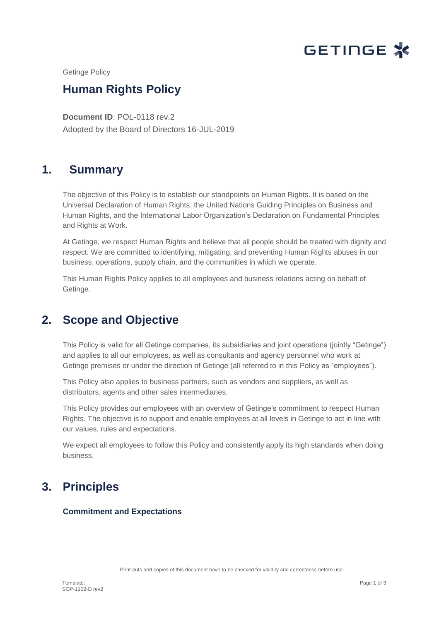

Getinge Policy

# **Human Rights Policy**

**Document ID**: POL-0118 rev.2 Pole believe the process of the contract of the contract of the contract of the contract of the contract of the<br>Pole believe the contract of the contract of the contract of the contract of the contract of the contract of t Adopted by the Board of Directors 16-JUL-2019

# **1. Summary**

The objective of this Policy is to establish our standpoints on Human Rights. It is based on the Universal Declaration of Human Rights, the United Nations Guiding Principles on Business and Human Rights, and the International Labor Organization's Declaration on Fundamental Principles and Rights at Work.

At Getinge, we respect Human Rights and believe that all people should be treated with dignity and respect. We are committed to identifying, mitigating, and preventing Human Rights abuses in our business, operations, supply chain, and the communities in which we operate.

This Human Rights Policy applies to all employees and business relations acting on behalf of Getinge.

## **2. Scope and Objective**

This Policy is valid for all Getinge companies, its subsidiaries and joint operations (jointly "Getinge") and applies to all our employees, as well as consultants and agency personnel who work at Getinge premises or under the direction of Getinge (all referred to in this Policy as "employees").

This Policy also applies to business partners, such as vendors and suppliers, as well as distributors, agents and other sales intermediaries.

This Policy provides our employees with an overview of Getinge's commitment to respect Human Rights. The objective is to support and enable employees at all levels in Getinge to act in line with our values, rules and expectations.

We expect all employees to follow this Policy and consistently apply its high standards when doing business.

# **3. Principles**

### **Commitment and Expectations**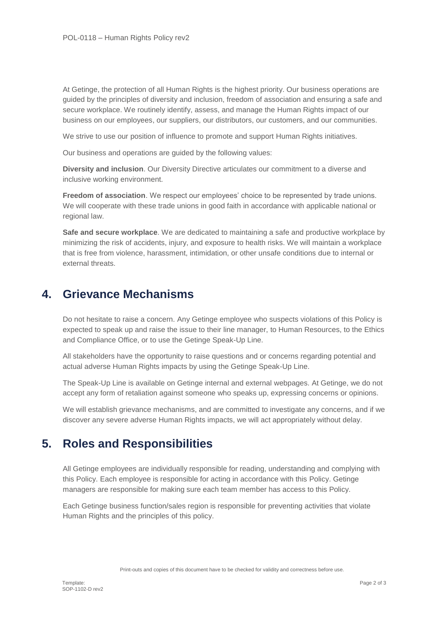At Getinge, the protection of all Human Rights is the highest priority. Our business operations are guided by the principles of diversity and inclusion, freedom of association and ensuring a safe and secure workplace. We routinely identify, assess, and manage the Human Rights impact of our business on our employees, our suppliers, our distributors, our customers, and our communities.

We strive to use our position of influence to promote and support Human Rights initiatives.

Our business and operations are guided by the following values:

**Diversity and inclusion**. Our Diversity Directive articulates our commitment to a diverse and inclusive working environment.

**Freedom of association**. We respect our employees' choice to be represented by trade unions. We will cooperate with these trade unions in good faith in accordance with applicable national or regional law.

**Safe and secure workplace**. We are dedicated to maintaining a safe and productive workplace by minimizing the risk of accidents, injury, and exposure to health risks. We will maintain a workplace that is free from violence, harassment, intimidation, or other unsafe conditions due to internal or external threats.

### **4. Grievance Mechanisms**

Do not hesitate to raise a concern. Any Getinge employee who suspects violations of this Policy is expected to speak up and raise the issue to their line manager, to Human Resources, to the Ethics and Compliance Office, or to use the Getinge Speak-Up Line.

All stakeholders have the opportunity to raise questions and or concerns regarding potential and actual adverse Human Rights impacts by using the Getinge Speak-Up Line.

The Speak-Up Line is available on Getinge internal and external webpages. At Getinge, we do not accept any form of retaliation against someone who speaks up, expressing concerns or opinions.

We will establish grievance mechanisms, and are committed to investigate any concerns, and if we discover any severe adverse Human Rights impacts, we will act appropriately without delay.

## **5. Roles and Responsibilities**

All Getinge employees are individually responsible for reading, understanding and complying with this Policy. Each employee is responsible for acting in accordance with this Policy. Getinge managers are responsible for making sure each team member has access to this Policy.

Each Getinge business function/sales region is responsible for preventing activities that violate Human Rights and the principles of this policy.